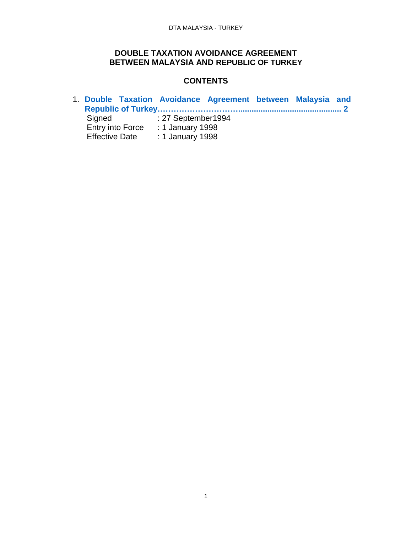# **DOUBLE TAXATION AVOIDANCE AGREEMENT BETWEEN MALAYSIA AND REPUBLIC OF TURKEY**

# <span id="page-0-0"></span>**CONTENTS**

| 1. Double Taxation Avoidance Agreement between Malaysia and |                             |  |  |  |  |
|-------------------------------------------------------------|-----------------------------|--|--|--|--|
|                                                             |                             |  |  |  |  |
|                                                             | Signed: : 27 September 1994 |  |  |  |  |
| Entry into Force                                            | : 1 January 1998            |  |  |  |  |
| <b>Effective Date</b>                                       | : 1 January 1998            |  |  |  |  |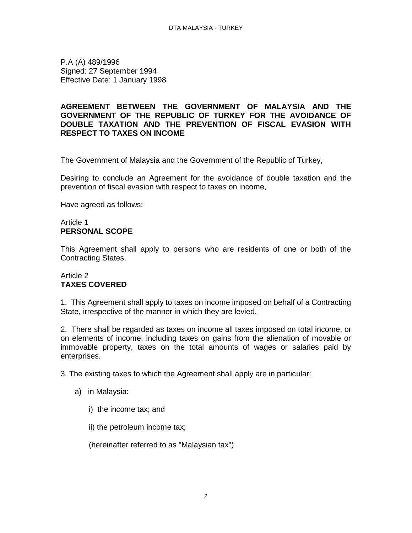P.A (A) 489/1996 Signed: 27 September 1994 Effective Date: 1 January 1998

#### **AGREEMENT BETWEEN THE GOVERNMENT OF MALAYSIA AND THE GOVERNMENT OF THE REPUBLIC OF TURKEY FOR THE AVOIDANCE OF DOUBLE TAXATION AND THE PREVENTION OF FISCAL EVASION WITH RESPECT TO TAXES ON INCOME**

The Government of Malaysia and the Government of the Republic of Turkey,

Desiring to conclude an Agreement for the avoidance of double taxation and the prevention of fiscal evasion with respect to taxes on income,

Have agreed as follows:

### Article 1 **PERSONAL SCOPE**

This Agreement shall apply to persons who are residents of one or both of the Contracting States.

#### Article 2 **TAXES COVERED**

1. This Agreement shall apply to taxes on income imposed on behalf of a Contracting State, irrespective of the manner in which they are levied.

2. There shall be regarded as taxes on income all taxes imposed on total income, or on elements of income, including taxes on gains from the alienation of movable or immovable property, taxes on the total amounts of wages or salaries paid by enterprises.

3. The existing taxes to which the Agreement shall apply are in particular:

- a) in Malaysia:
	- i) the income tax; and
	- ii) the petroleum income tax;

(hereinafter referred to as "Malaysian tax")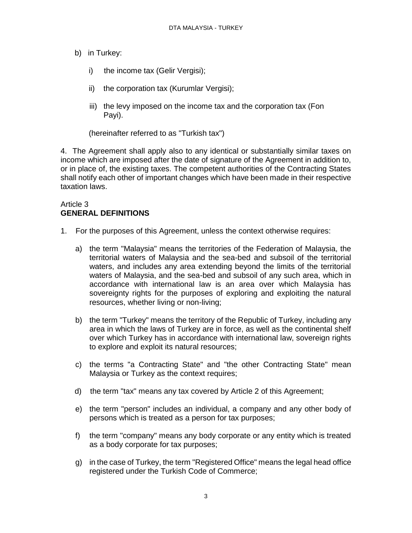- b) in Turkey:
	- i) the income tax (Gelir Vergisi);
	- ii) the corporation tax (Kurumlar Vergisi);
	- iii) the levy imposed on the income tax and the corporation tax (Fon Payi).

(hereinafter referred to as "Turkish tax")

4. The Agreement shall apply also to any identical or substantially similar taxes on income which are imposed after the date of signature of the Agreement in addition to, or in place of, the existing taxes. The competent authorities of the Contracting States shall notify each other of important changes which have been made in their respective taxation laws.

### Article 3 **GENERAL DEFINITIONS**

- 1. For the purposes of this Agreement, unless the context otherwise requires:
	- a) the term "Malaysia" means the territories of the Federation of Malaysia, the territorial waters of Malaysia and the sea-bed and subsoil of the territorial waters, and includes any area extending beyond the limits of the territorial waters of Malaysia, and the sea-bed and subsoil of any such area, which in accordance with international law is an area over which Malaysia has sovereignty rights for the purposes of exploring and exploiting the natural resources, whether living or non-living;
	- b) the term "Turkey" means the territory of the Republic of Turkey, including any area in which the laws of Turkey are in force, as well as the continental shelf over which Turkey has in accordance with international law, sovereign rights to explore and exploit its natural resources;
	- c) the terms "a Contracting State" and "the other Contracting State" mean Malaysia or Turkey as the context requires;
	- d) the term "tax" means any tax covered by Article 2 of this Agreement;
	- e) the term "person" includes an individual, a company and any other body of persons which is treated as a person for tax purposes;
	- f) the term "company" means any body corporate or any entity which is treated as a body corporate for tax purposes;
	- g) in the case of Turkey, the term "Registered Office" means the legal head office registered under the Turkish Code of Commerce;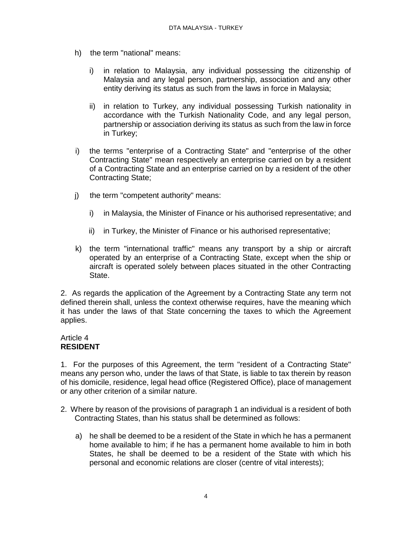- h) the term "national" means:
	- i) in relation to Malaysia, any individual possessing the citizenship of Malaysia and any legal person, partnership, association and any other entity deriving its status as such from the laws in force in Malaysia;
	- ii) in relation to Turkey, any individual possessing Turkish nationality in accordance with the Turkish Nationality Code, and any legal person, partnership or association deriving its status as such from the law in force in Turkey;
- i) the terms "enterprise of a Contracting State" and "enterprise of the other Contracting State" mean respectively an enterprise carried on by a resident of a Contracting State and an enterprise carried on by a resident of the other Contracting State;
- j) the term "competent authority" means:
	- i) in Malaysia, the Minister of Finance or his authorised representative; and
	- ii) in Turkey, the Minister of Finance or his authorised representative;
- k) the term "international traffic" means any transport by a ship or aircraft operated by an enterprise of a Contracting State, except when the ship or aircraft is operated solely between places situated in the other Contracting State.

2. As regards the application of the Agreement by a Contracting State any term not defined therein shall, unless the context otherwise requires, have the meaning which it has under the laws of that State concerning the taxes to which the Agreement applies.

#### Article 4 **RESIDENT**

1. For the purposes of this Agreement, the term "resident of a Contracting State" means any person who, under the laws of that State, is liable to tax therein by reason of his domicile, residence, legal head office (Registered Office), place of management or any other criterion of a similar nature.

- 2. Where by reason of the provisions of paragraph 1 an individual is a resident of both Contracting States, than his status shall be determined as follows:
	- a) he shall be deemed to be a resident of the State in which he has a permanent home available to him; if he has a permanent home available to him in both States, he shall be deemed to be a resident of the State with which his personal and economic relations are closer (centre of vital interests);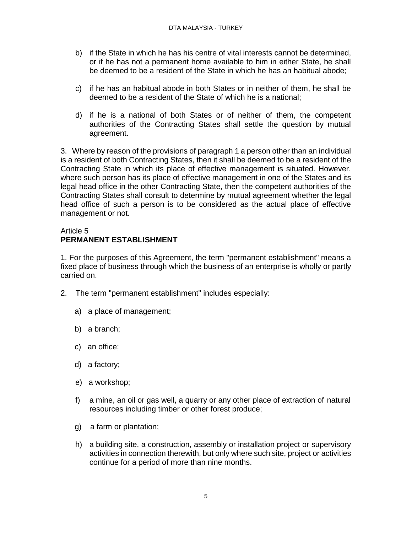- b) if the State in which he has his centre of vital interests cannot be determined, or if he has not a permanent home available to him in either State, he shall be deemed to be a resident of the State in which he has an habitual abode;
- c) if he has an habitual abode in both States or in neither of them, he shall be deemed to be a resident of the State of which he is a national;
- d) if he is a national of both States or of neither of them, the competent authorities of the Contracting States shall settle the question by mutual agreement.

3. Where by reason of the provisions of paragraph 1 a person other than an individual is a resident of both Contracting States, then it shall be deemed to be a resident of the Contracting State in which its place of effective management is situated. However, where such person has its place of effective management in one of the States and its legal head office in the other Contracting State, then the competent authorities of the Contracting States shall consult to determine by mutual agreement whether the legal head office of such a person is to be considered as the actual place of effective management or not.

# Article 5 **PERMANENT ESTABLISHMENT**

1. For the purposes of this Agreement, the term "permanent establishment" means a fixed place of business through which the business of an enterprise is wholly or partly carried on.

- 2. The term "permanent establishment" includes especially:
	- a) a place of management;
	- b) a branch;
	- c) an office;
	- d) a factory;
	- e) a workshop;
	- f) a mine, an oil or gas well, a quarry or any other place of extraction of natural resources including timber or other forest produce;
	- g) a farm or plantation;
	- h) a building site, a construction, assembly or installation project or supervisory activities in connection therewith, but only where such site, project or activities continue for a period of more than nine months.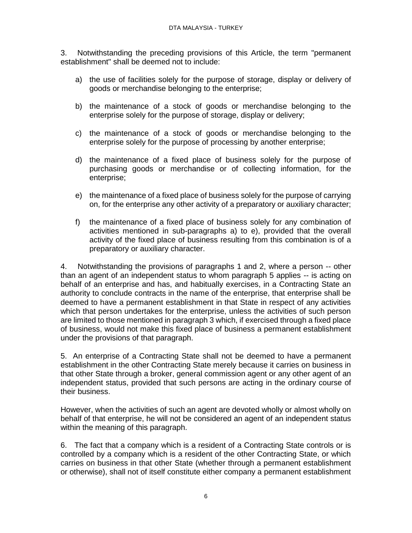3. Notwithstanding the preceding provisions of this Article, the term "permanent establishment" shall be deemed not to include:

- a) the use of facilities solely for the purpose of storage, display or delivery of goods or merchandise belonging to the enterprise;
- b) the maintenance of a stock of goods or merchandise belonging to the enterprise solely for the purpose of storage, display or delivery;
- c) the maintenance of a stock of goods or merchandise belonging to the enterprise solely for the purpose of processing by another enterprise;
- d) the maintenance of a fixed place of business solely for the purpose of purchasing goods or merchandise or of collecting information, for the enterprise;
- e) the maintenance of a fixed place of business solely for the purpose of carrying on, for the enterprise any other activity of a preparatory or auxiliary character;
- f) the maintenance of a fixed place of business solely for any combination of activities mentioned in sub-paragraphs a) to e), provided that the overall activity of the fixed place of business resulting from this combination is of a preparatory or auxiliary character.

4. Notwithstanding the provisions of paragraphs 1 and 2, where a person -- other than an agent of an independent status to whom paragraph 5 applies -- is acting on behalf of an enterprise and has, and habitually exercises, in a Contracting State an authority to conclude contracts in the name of the enterprise, that enterprise shall be deemed to have a permanent establishment in that State in respect of any activities which that person undertakes for the enterprise, unless the activities of such person are limited to those mentioned in paragraph 3 which, if exercised through a fixed place of business, would not make this fixed place of business a permanent establishment under the provisions of that paragraph.

5. An enterprise of a Contracting State shall not be deemed to have a permanent establishment in the other Contracting State merely because it carries on business in that other State through a broker, general commission agent or any other agent of an independent status, provided that such persons are acting in the ordinary course of their business.

However, when the activities of such an agent are devoted wholly or almost wholly on behalf of that enterprise, he will not be considered an agent of an independent status within the meaning of this paragraph.

6. The fact that a company which is a resident of a Contracting State controls or is controlled by a company which is a resident of the other Contracting State, or which carries on business in that other State (whether through a permanent establishment or otherwise), shall not of itself constitute either company a permanent establishment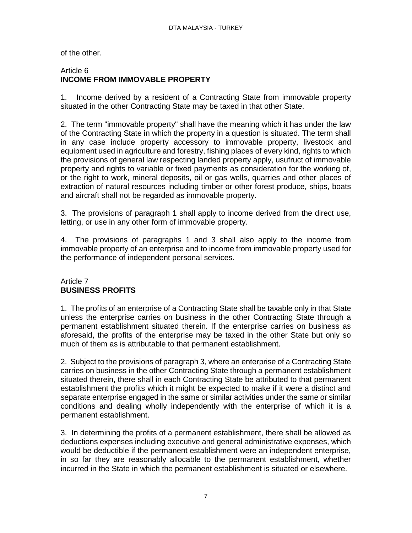of the other.

# Article 6 **INCOME FROM IMMOVABLE PROPERTY**

1. Income derived by a resident of a Contracting State from immovable property situated in the other Contracting State may be taxed in that other State.

2. The term "immovable property" shall have the meaning which it has under the law of the Contracting State in which the property in a question is situated. The term shall in any case include property accessory to immovable property, livestock and equipment used in agriculture and forestry, fishing places of every kind, rights to which the provisions of general law respecting landed property apply, usufruct of immovable property and rights to variable or fixed payments as consideration for the working of, or the right to work, mineral deposits, oil or gas wells, quarries and other places of extraction of natural resources including timber or other forest produce, ships, boats and aircraft shall not be regarded as immovable property.

3. The provisions of paragraph 1 shall apply to income derived from the direct use, letting, or use in any other form of immovable property.

4. The provisions of paragraphs 1 and 3 shall also apply to the income from immovable property of an enterprise and to income from immovable property used for the performance of independent personal services.

# Article 7 **BUSINESS PROFITS**

1. The profits of an enterprise of a Contracting State shall be taxable only in that State unless the enterprise carries on business in the other Contracting State through a permanent establishment situated therein. If the enterprise carries on business as aforesaid, the profits of the enterprise may be taxed in the other State but only so much of them as is attributable to that permanent establishment.

2. Subject to the provisions of paragraph 3, where an enterprise of a Contracting State carries on business in the other Contracting State through a permanent establishment situated therein, there shall in each Contracting State be attributed to that permanent establishment the profits which it might be expected to make if it were a distinct and separate enterprise engaged in the same or similar activities under the same or similar conditions and dealing wholly independently with the enterprise of which it is a permanent establishment.

3. In determining the profits of a permanent establishment, there shall be allowed as deductions expenses including executive and general administrative expenses, which would be deductible if the permanent establishment were an independent enterprise, in so far they are reasonably allocable to the permanent establishment, whether incurred in the State in which the permanent establishment is situated or elsewhere.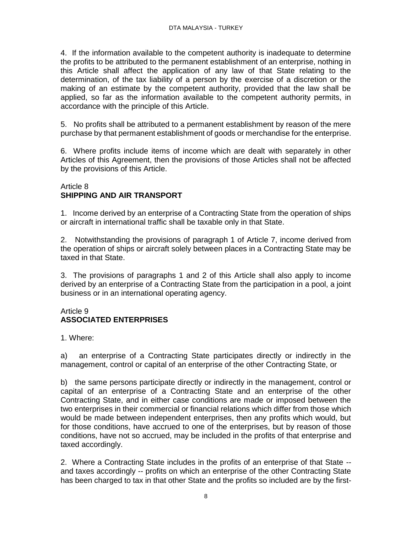4. If the information available to the competent authority is inadequate to determine the profits to be attributed to the permanent establishment of an enterprise, nothing in this Article shall affect the application of any law of that State relating to the determination, of the tax liability of a person by the exercise of a discretion or the making of an estimate by the competent authority, provided that the law shall be applied, so far as the information available to the competent authority permits, in accordance with the principle of this Article.

5. No profits shall be attributed to a permanent establishment by reason of the mere purchase by that permanent establishment of goods or merchandise for the enterprise.

6. Where profits include items of income which are dealt with separately in other Articles of this Agreement, then the provisions of those Articles shall not be affected by the provisions of this Article.

#### Article 8 **SHIPPING AND AIR TRANSPORT**

1. Income derived by an enterprise of a Contracting State from the operation of ships or aircraft in international traffic shall be taxable only in that State.

2. Notwithstanding the provisions of paragraph 1 of Article 7, income derived from the operation of ships or aircraft solely between places in a Contracting State may be taxed in that State.

3. The provisions of paragraphs 1 and 2 of this Article shall also apply to income derived by an enterprise of a Contracting State from the participation in a pool, a joint business or in an international operating agency.

# Article 9 **ASSOCIATED ENTERPRISES**

1. Where:

a) an enterprise of a Contracting State participates directly or indirectly in the management, control or capital of an enterprise of the other Contracting State, or

b) the same persons participate directly or indirectly in the management, control or capital of an enterprise of a Contracting State and an enterprise of the other Contracting State, and in either case conditions are made or imposed between the two enterprises in their commercial or financial relations which differ from those which would be made between independent enterprises, then any profits which would, but for those conditions, have accrued to one of the enterprises, but by reason of those conditions, have not so accrued, may be included in the profits of that enterprise and taxed accordingly.

2. Where a Contracting State includes in the profits of an enterprise of that State - and taxes accordingly -- profits on which an enterprise of the other Contracting State has been charged to tax in that other State and the profits so included are by the first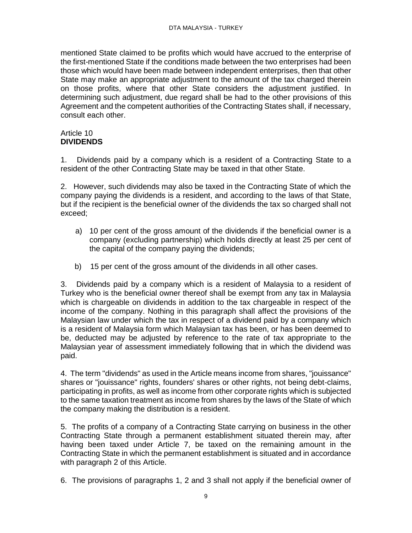mentioned State claimed to be profits which would have accrued to the enterprise of the first-mentioned State if the conditions made between the two enterprises had been those which would have been made between independent enterprises, then that other State may make an appropriate adjustment to the amount of the tax charged therein on those profits, where that other State considers the adjustment justified. In determining such adjustment, due regard shall be had to the other provisions of this Agreement and the competent authorities of the Contracting States shall, if necessary, consult each other.

### Article 10 **DIVIDENDS**

1. Dividends paid by a company which is a resident of a Contracting State to a resident of the other Contracting State may be taxed in that other State.

2. However, such dividends may also be taxed in the Contracting State of which the company paying the dividends is a resident, and according to the laws of that State, but if the recipient is the beneficial owner of the dividends the tax so charged shall not exceed;

- a) 10 per cent of the gross amount of the dividends if the beneficial owner is a company (excluding partnership) which holds directly at least 25 per cent of the capital of the company paying the dividends;
- b) 15 per cent of the gross amount of the dividends in all other cases.

3. Dividends paid by a company which is a resident of Malaysia to a resident of Turkey who is the beneficial owner thereof shall be exempt from any tax in Malaysia which is chargeable on dividends in addition to the tax chargeable in respect of the income of the company. Nothing in this paragraph shall affect the provisions of the Malaysian law under which the tax in respect of a dividend paid by a company which is a resident of Malaysia form which Malaysian tax has been, or has been deemed to be, deducted may be adjusted by reference to the rate of tax appropriate to the Malaysian year of assessment immediately following that in which the dividend was paid.

4. The term "dividends" as used in the Article means income from shares, "jouissance" shares or "jouissance" rights, founders' shares or other rights, not being debt-claims, participating in profits, as well as income from other corporate rights which is subjected to the same taxation treatment as income from shares by the laws of the State of which the company making the distribution is a resident.

5. The profits of a company of a Contracting State carrying on business in the other Contracting State through a permanent establishment situated therein may, after having been taxed under Article 7, be taxed on the remaining amount in the Contracting State in which the permanent establishment is situated and in accordance with paragraph 2 of this Article.

6. The provisions of paragraphs 1, 2 and 3 shall not apply if the beneficial owner of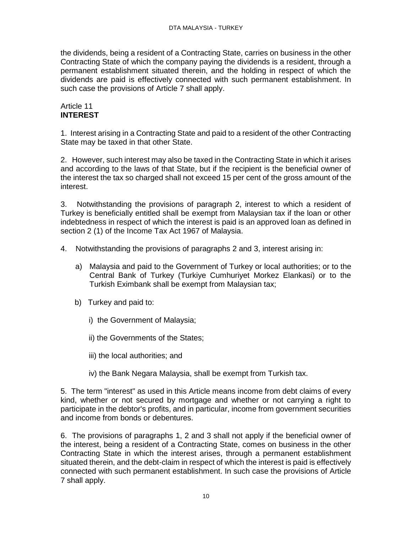the dividends, being a resident of a Contracting State, carries on business in the other Contracting State of which the company paying the dividends is a resident, through a permanent establishment situated therein, and the holding in respect of which the dividends are paid is effectively connected with such permanent establishment. In such case the provisions of Article 7 shall apply.

### Article 11 **INTEREST**

1. Interest arising in a Contracting State and paid to a resident of the other Contracting State may be taxed in that other State.

2. However, such interest may also be taxed in the Contracting State in which it arises and according to the laws of that State, but if the recipient is the beneficial owner of the interest the tax so charged shall not exceed 15 per cent of the gross amount of the interest.

3. Notwithstanding the provisions of paragraph 2, interest to which a resident of Turkey is beneficially entitled shall be exempt from Malaysian tax if the loan or other indebtedness in respect of which the interest is paid is an approved loan as defined in section 2 (1) of the Income Tax Act 1967 of Malaysia.

- 4. Notwithstanding the provisions of paragraphs 2 and 3, interest arising in:
	- a) Malaysia and paid to the Government of Turkey or local authorities; or to the Central Bank of Turkey (Turkiye Cumhuriyet Morkez Elankasi) or to the Turkish Eximbank shall be exempt from Malaysian tax;
	- b) Turkey and paid to:
		- i) the Government of Malaysia;
		- ii) the Governments of the States;
		- iii) the local authorities; and
		- iv) the Bank Negara Malaysia, shall be exempt from Turkish tax.

5. The term "interest" as used in this Article means income from debt claims of every kind, whether or not secured by mortgage and whether or not carrying a right to participate in the debtor's profits, and in particular, income from government securities and income from bonds or debentures.

6. The provisions of paragraphs 1, 2 and 3 shall not apply if the beneficial owner of the interest, being a resident of a Contracting State, comes on business in the other Contracting State in which the interest arises, through a permanent establishment situated therein, and the debt-claim in respect of which the interest is paid is effectively connected with such permanent establishment. In such case the provisions of Article 7 shall apply.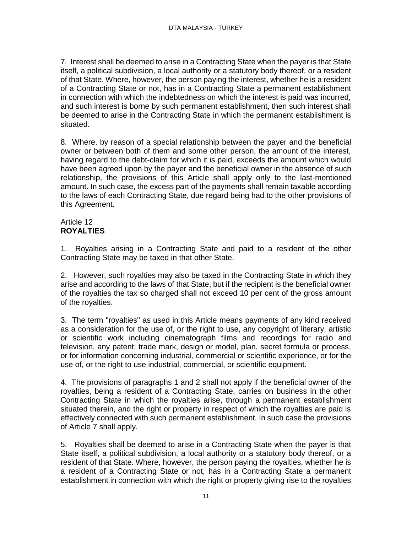7. Interest shall be deemed to arise in a Contracting State when the payer is that State itself, a political subdivision, a local authority or a statutory body thereof, or a resident of that State. Where, however, the person paying the interest, whether he is a resident of a Contracting State or not, has in a Contracting State a permanent establishment in connection with which the indebtedness on which the interest is paid was incurred, and such interest is borne by such permanent establishment, then such interest shall be deemed to arise in the Contracting State in which the permanent establishment is situated.

8. Where, by reason of a special relationship between the payer and the beneficial owner or between both of them and some other person, the amount of the interest, having regard to the debt-claim for which it is paid, exceeds the amount which would have been agreed upon by the payer and the beneficial owner in the absence of such relationship, the provisions of this Article shall apply only to the last-mentioned amount. In such case, the excess part of the payments shall remain taxable according to the laws of each Contracting State, due regard being had to the other provisions of this Agreement.

# Article 12 **ROYALTIES**

1. Royalties arising in a Contracting State and paid to a resident of the other Contracting State may be taxed in that other State.

2. However, such royalties may also be taxed in the Contracting State in which they arise and according to the laws of that State, but if the recipient is the beneficial owner of the royalties the tax so charged shall not exceed 10 per cent of the gross amount of the royalties.

3. The term "royalties" as used in this Article means payments of any kind received as a consideration for the use of, or the right to use, any copyright of literary, artistic or scientific work including cinematograph films and recordings for radio and television, any patent, trade mark, design or model, plan, secret formula or process, or for information concerning industrial, commercial or scientific experience, or for the use of, or the right to use industrial, commercial, or scientific equipment.

4. The provisions of paragraphs 1 and 2 shall not apply if the beneficial owner of the royalties, being a resident of a Contracting State, carries on business in the other Contracting State in which the royalties arise, through a permanent establishment situated therein, and the right or property in respect of which the royalties are paid is effectively connected with such permanent establishment. In such case the provisions of Article 7 shall apply.

5. Royalties shall be deemed to arise in a Contracting State when the payer is that State itself, a political subdivision, a local authority or a statutory body thereof, or a resident of that State. Where, however, the person paying the royalties, whether he is a resident of a Contracting State or not, has in a Contracting State a permanent establishment in connection with which the right or property giving rise to the royalties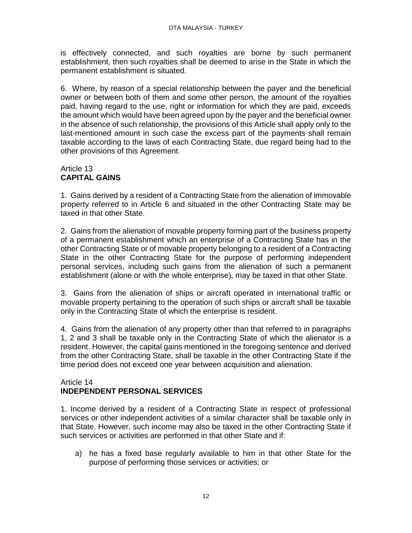is effectively connected, and such royalties are borne by such permanent establishment, then such royalties shall be deemed to arise in the State in which the permanent establishment is situated.

6. Where, by reason of a special relationship between the payer and the beneficial owner or between both of them and some other person, the amount of the royalties paid, having regard to the use, right or information for which they are paid, exceeds the amount which would have been agreed upon by the payer and the beneficial owner in the absence of such relationship, the provisions of this Article shall apply only to the last-mentioned amount in such case the excess part of the payments shall remain taxable according to the laws of each Contracting State, due regard being had to the other provisions of this Agreement.

# Article 13 **CAPITAL GAINS**

1. Gains derived by a resident of a Contracting State from the alienation of immovable property referred to in Article 6 and situated in the other Contracting State may be taxed in that other State.

2. Gains from the alienation of movable property forming part of the business property of a permanent establishment which an enterprise of a Contracting State has in the other Contracting State or of movable property belonging to a resident of a Contracting State in the other Contracting State for the purpose of performing independent personal services, including such gains from the alienation of such a permanent establishment (alone or with the whole enterprise), may be taxed in that other State.

3. Gains from the alienation of ships or aircraft operated in international traffic or movable property pertaining to the operation of such ships or aircraft shall be taxable only in the Contracting State of which the enterprise is resident.

4. Gains from the alienation of any property other than that referred to in paragraphs 1, 2 and 3 shall be taxable only in the Contracting State of which the alienator is a resident. However, the capital gains mentioned in the foregoing sentence and derived from the other Contracting State, shall be taxable in the other Contracting State if the time period does not exceed one year between acquisition and alienation.

#### Article 14 **INDEPENDENT PERSONAL SERVICES**

1. Income derived by a resident of a Contracting State in respect of professional services or other independent activities of a similar character shall be taxable only in that State. However, such income may also be taxed in the other Contracting State if such services or activities are performed in that other State and if:

a) he has a fixed base regularly available to him in that other State for the purpose of performing those services or activities; or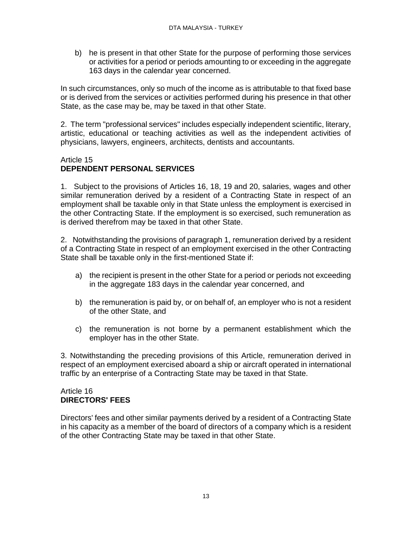b) he is present in that other State for the purpose of performing those services or activities for a period or periods amounting to or exceeding in the aggregate 163 days in the calendar year concerned.

In such circumstances, only so much of the income as is attributable to that fixed base or is derived from the services or activities performed during his presence in that other State, as the case may be, may be taxed in that other State.

2. The term "professional services" includes especially independent scientific, literary, artistic, educational or teaching activities as well as the independent activities of physicians, lawyers, engineers, architects, dentists and accountants.

# Article 15 **DEPENDENT PERSONAL SERVICES**

1. Subject to the provisions of Articles 16, 18, 19 and 20, salaries, wages and other similar remuneration derived by a resident of a Contracting State in respect of an employment shall be taxable only in that State unless the employment is exercised in the other Contracting State. If the employment is so exercised, such remuneration as is derived therefrom may be taxed in that other State.

2. Notwithstanding the provisions of paragraph 1, remuneration derived by a resident of a Contracting State in respect of an employment exercised in the other Contracting State shall be taxable only in the first-mentioned State if:

- a) the recipient is present in the other State for a period or periods not exceeding in the aggregate 183 days in the calendar year concerned, and
- b) the remuneration is paid by, or on behalf of, an employer who is not a resident of the other State, and
- c) the remuneration is not borne by a permanent establishment which the employer has in the other State.

3. Notwithstanding the preceding provisions of this Article, remuneration derived in respect of an employment exercised aboard a ship or aircraft operated in international traffic by an enterprise of a Contracting State may be taxed in that State.

# Article 16 **DIRECTORS' FEES**

Directors' fees and other similar payments derived by a resident of a Contracting State in his capacity as a member of the board of directors of a company which is a resident of the other Contracting State may be taxed in that other State.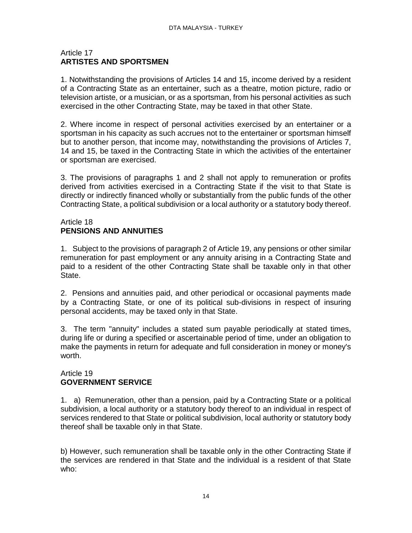### Article 17 **ARTISTES AND SPORTSMEN**

1. Notwithstanding the provisions of Articles 14 and 15, income derived by a resident of a Contracting State as an entertainer, such as a theatre, motion picture, radio or television artiste, or a musician, or as a sportsman, from his personal activities as such exercised in the other Contracting State, may be taxed in that other State.

2. Where income in respect of personal activities exercised by an entertainer or a sportsman in his capacity as such accrues not to the entertainer or sportsman himself but to another person, that income may, notwithstanding the provisions of Articles 7, 14 and 15, be taxed in the Contracting State in which the activities of the entertainer or sportsman are exercised.

3. The provisions of paragraphs 1 and 2 shall not apply to remuneration or profits derived from activities exercised in a Contracting State if the visit to that State is directly or indirectly financed wholly or substantially from the public funds of the other Contracting State, a political subdivision or a local authority or a statutory body thereof.

# Article 18 **PENSIONS AND ANNUITIES**

1. Subject to the provisions of paragraph 2 of Article 19, any pensions or other similar remuneration for past employment or any annuity arising in a Contracting State and paid to a resident of the other Contracting State shall be taxable only in that other State.

2. Pensions and annuities paid, and other periodical or occasional payments made by a Contracting State, or one of its political sub-divisions in respect of insuring personal accidents, may be taxed only in that State.

3. The term "annuity" includes a stated sum payable periodically at stated times, during life or during a specified or ascertainable period of time, under an obligation to make the payments in return for adequate and full consideration in money or money's worth.

# Article 19 **GOVERNMENT SERVICE**

1. a) Remuneration, other than a pension, paid by a Contracting State or a political subdivision, a local authority or a statutory body thereof to an individual in respect of services rendered to that State or political subdivision, local authority or statutory body thereof shall be taxable only in that State.

b) However, such remuneration shall be taxable only in the other Contracting State if the services are rendered in that State and the individual is a resident of that State who: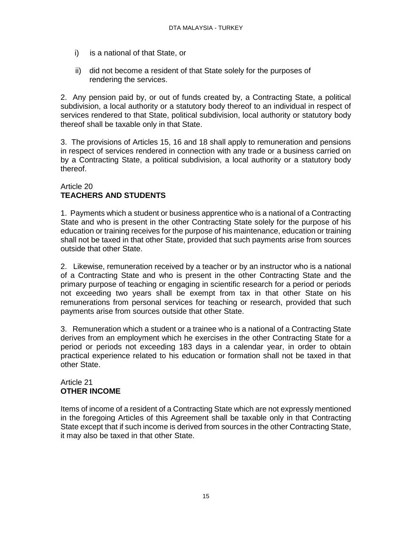- i) is a national of that State, or
- ii) did not become a resident of that State solely for the purposes of rendering the services.

2. Any pension paid by, or out of funds created by, a Contracting State, a political subdivision, a local authority or a statutory body thereof to an individual in respect of services rendered to that State, political subdivision, local authority or statutory body thereof shall be taxable only in that State.

3. The provisions of Articles 15, 16 and 18 shall apply to remuneration and pensions in respect of services rendered in connection with any trade or a business carried on by a Contracting State, a political subdivision, a local authority or a statutory body thereof.

#### Article 20 **TEACHERS AND STUDENTS**

1. Payments which a student or business apprentice who is a national of a Contracting State and who is present in the other Contracting State solely for the purpose of his education or training receives for the purpose of his maintenance, education or training shall not be taxed in that other State, provided that such payments arise from sources outside that other State.

2. Likewise, remuneration received by a teacher or by an instructor who is a national of a Contracting State and who is present in the other Contracting State and the primary purpose of teaching or engaging in scientific research for a period or periods not exceeding two years shall be exempt from tax in that other State on his remunerations from personal services for teaching or research, provided that such payments arise from sources outside that other State.

3. Remuneration which a student or a trainee who is a national of a Contracting State derives from an employment which he exercises in the other Contracting State for a period or periods not exceeding 183 days in a calendar year, in order to obtain practical experience related to his education or formation shall not be taxed in that other State.

#### Article 21 **OTHER INCOME**

Items of income of a resident of a Contracting State which are not expressly mentioned in the foregoing Articles of this Agreement shall be taxable only in that Contracting State except that if such income is derived from sources in the other Contracting State, it may also be taxed in that other State.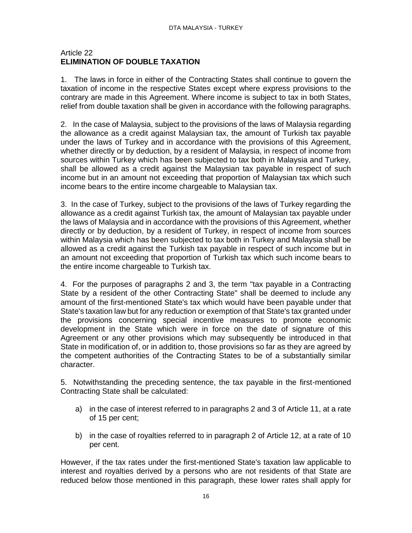### Article 22 **ELIMINATION OF DOUBLE TAXATION**

1. The laws in force in either of the Contracting States shall continue to govern the taxation of income in the respective States except where express provisions to the contrary are made in this Agreement. Where income is subject to tax in both States, relief from double taxation shall be given in accordance with the following paragraphs.

2. In the case of Malaysia, subject to the provisions of the laws of Malaysia regarding the allowance as a credit against Malaysian tax, the amount of Turkish tax payable under the laws of Turkey and in accordance with the provisions of this Agreement, whether directly or by deduction, by a resident of Malaysia, in respect of income from sources within Turkey which has been subjected to tax both in Malaysia and Turkey, shall be allowed as a credit against the Malaysian tax payable in respect of such income but in an amount not exceeding that proportion of Malaysian tax which such income bears to the entire income chargeable to Malaysian tax.

3. In the case of Turkey, subject to the provisions of the laws of Turkey regarding the allowance as a credit against Turkish tax, the amount of Malaysian tax payable under the laws of Malaysia and in accordance with the provisions of this Agreement, whether directly or by deduction, by a resident of Turkey, in respect of income from sources within Malaysia which has been subjected to tax both in Turkey and Malaysia shall be allowed as a credit against the Turkish tax payable in respect of such income but in an amount not exceeding that proportion of Turkish tax which such income bears to the entire income chargeable to Turkish tax.

4. For the purposes of paragraphs 2 and 3, the term "tax payable in a Contracting State by a resident of the other Contracting State" shall be deemed to include any amount of the first-mentioned State's tax which would have been payable under that State's taxation law but for any reduction or exemption of that State's tax granted under the provisions concerning special incentive measures to promote economic development in the State which were in force on the date of signature of this Agreement or any other provisions which may subsequently be introduced in that State in modification of, or in addition to, those provisions so far as they are agreed by the competent authorities of the Contracting States to be of a substantially similar character.

5. Notwithstanding the preceding sentence, the tax payable in the first-mentioned Contracting State shall be calculated:

- a) in the case of interest referred to in paragraphs 2 and 3 of Article 11, at a rate of 15 per cent;
- b) in the case of royalties referred to in paragraph 2 of Article 12, at a rate of 10 per cent.

However, if the tax rates under the first-mentioned State's taxation law applicable to interest and royalties derived by a persons who are not residents of that State are reduced below those mentioned in this paragraph, these lower rates shall apply for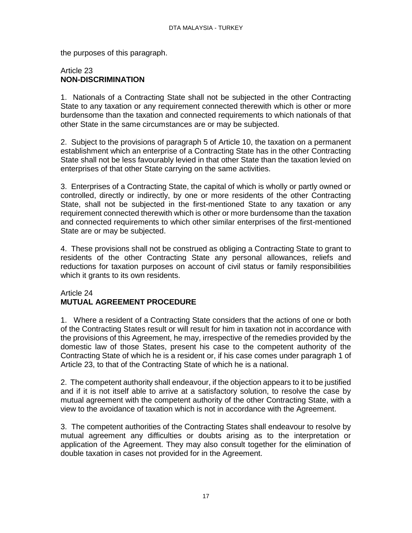the purposes of this paragraph.

# Article 23 **NON-DISCRIMINATION**

1. Nationals of a Contracting State shall not be subjected in the other Contracting State to any taxation or any requirement connected therewith which is other or more burdensome than the taxation and connected requirements to which nationals of that other State in the same circumstances are or may be subjected.

2. Subject to the provisions of paragraph 5 of Article 10, the taxation on a permanent establishment which an enterprise of a Contracting State has in the other Contracting State shall not be less favourably levied in that other State than the taxation levied on enterprises of that other State carrying on the same activities.

3. Enterprises of a Contracting State, the capital of which is wholly or partly owned or controlled, directly or indirectly, by one or more residents of the other Contracting State, shall not be subjected in the first-mentioned State to any taxation or any requirement connected therewith which is other or more burdensome than the taxation and connected requirements to which other similar enterprises of the first-mentioned State are or may be subjected.

4. These provisions shall not be construed as obliging a Contracting State to grant to residents of the other Contracting State any personal allowances, reliefs and reductions for taxation purposes on account of civil status or family responsibilities which it grants to its own residents.

# Article 24 **MUTUAL AGREEMENT PROCEDURE**

1. Where a resident of a Contracting State considers that the actions of one or both of the Contracting States result or will result for him in taxation not in accordance with the provisions of this Agreement, he may, irrespective of the remedies provided by the domestic law of those States, present his case to the competent authority of the Contracting State of which he is a resident or, if his case comes under paragraph 1 of Article 23, to that of the Contracting State of which he is a national.

2. The competent authority shall endeavour, if the objection appears to it to be justified and if it is not itself able to arrive at a satisfactory solution, to resolve the case by mutual agreement with the competent authority of the other Contracting State, with a view to the avoidance of taxation which is not in accordance with the Agreement.

3. The competent authorities of the Contracting States shall endeavour to resolve by mutual agreement any difficulties or doubts arising as to the interpretation or application of the Agreement. They may also consult together for the elimination of double taxation in cases not provided for in the Agreement.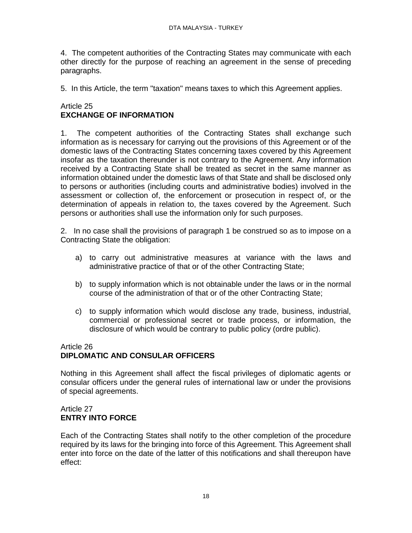4. The competent authorities of the Contracting States may communicate with each other directly for the purpose of reaching an agreement in the sense of preceding paragraphs.

5. In this Article, the term "taxation" means taxes to which this Agreement applies.

# Article 25 **EXCHANGE OF INFORMATION**

1. The competent authorities of the Contracting States shall exchange such information as is necessary for carrying out the provisions of this Agreement or of the domestic laws of the Contracting States concerning taxes covered by this Agreement insofar as the taxation thereunder is not contrary to the Agreement. Any information received by a Contracting State shall be treated as secret in the same manner as information obtained under the domestic laws of that State and shall be disclosed only to persons or authorities (including courts and administrative bodies) involved in the assessment or collection of, the enforcement or prosecution in respect of, or the determination of appeals in relation to, the taxes covered by the Agreement. Such persons or authorities shall use the information only for such purposes.

2. In no case shall the provisions of paragraph 1 be construed so as to impose on a Contracting State the obligation:

- a) to carry out administrative measures at variance with the laws and administrative practice of that or of the other Contracting State;
- b) to supply information which is not obtainable under the laws or in the normal course of the administration of that or of the other Contracting State;
- c) to supply information which would disclose any trade, business, industrial, commercial or professional secret or trade process, or information, the disclosure of which would be contrary to public policy (ordre public).

# Article 26 **DIPLOMATIC AND CONSULAR OFFICERS**

Nothing in this Agreement shall affect the fiscal privileges of diplomatic agents or consular officers under the general rules of international law or under the provisions of special agreements.

# Article 27 **ENTRY INTO FORCE**

Each of the Contracting States shall notify to the other completion of the procedure required by its laws for the bringing into force of this Agreement. This Agreement shall enter into force on the date of the latter of this notifications and shall thereupon have effect: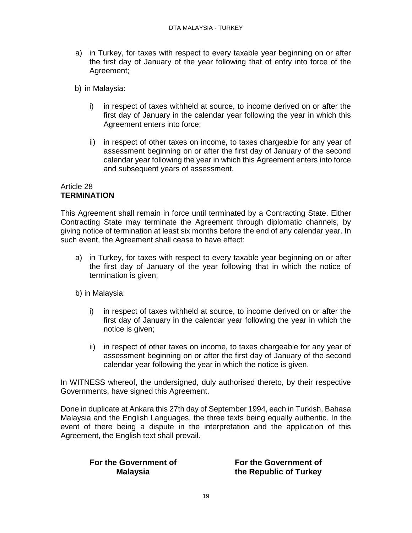- a) in Turkey, for taxes with respect to every taxable year beginning on or after the first day of January of the year following that of entry into force of the Agreement;
- b) in Malaysia:
	- i) in respect of taxes withheld at source, to income derived on or after the first day of January in the calendar year following the year in which this Agreement enters into force;
	- ii) in respect of other taxes on income, to taxes chargeable for any year of assessment beginning on or after the first day of January of the second calendar year following the year in which this Agreement enters into force and subsequent years of assessment.

#### Article 28 **TERMINATION**

This Agreement shall remain in force until terminated by a Contracting State. Either Contracting State may terminate the Agreement through diplomatic channels, by giving notice of termination at least six months before the end of any calendar year. In such event, the Agreement shall cease to have effect:

a) in Turkey, for taxes with respect to every taxable year beginning on or after the first day of January of the year following that in which the notice of termination is given;

b) in Malaysia:

- i) in respect of taxes withheld at source, to income derived on or after the first day of January in the calendar year following the year in which the notice is given;
- ii) in respect of other taxes on income, to taxes chargeable for any year of assessment beginning on or after the first day of January of the second calendar year following the year in which the notice is given.

In WITNESS whereof, the undersigned, duly authorised thereto, by their respective Governments, have signed this Agreement.

Done in duplicate at Ankara this 27th day of September 1994, each in Turkish, Bahasa Malaysia and the English Languages, the three texts being equally authentic. In the event of there being a dispute in the interpretation and the application of this Agreement, the English text shall prevail.

**For the Government of Malaysia**

**For the Government of the Republic of Turkey**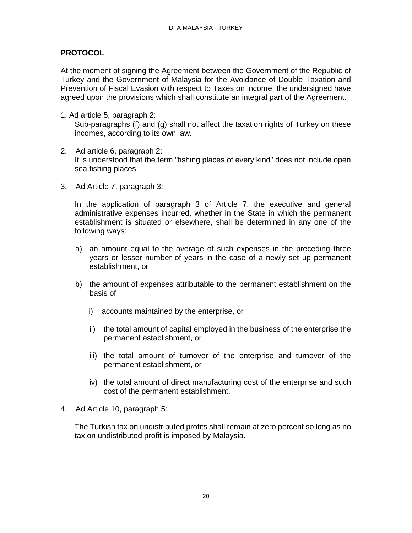# **PROTOCOL**

At the moment of signing the Agreement between the Government of the Republic of Turkey and the Government of Malaysia for the Avoidance of Double Taxation and Prevention of Fiscal Evasion with respect to Taxes on income, the undersigned have agreed upon the provisions which shall constitute an integral part of the Agreement.

1. Ad article 5, paragraph 2:

Sub-paragraphs (f) and (g) shall not affect the taxation rights of Turkey on these incomes, according to its own law.

- 2. Ad article 6, paragraph 2: It is understood that the term "fishing places of every kind" does not include open sea fishing places.
- 3. Ad Article 7, paragraph 3:

In the application of paragraph 3 of Article 7, the executive and general administrative expenses incurred, whether in the State in which the permanent establishment is situated or elsewhere, shall be determined in any one of the following ways:

- a) an amount equal to the average of such expenses in the preceding three years or lesser number of years in the case of a newly set up permanent establishment, or
- b) the amount of expenses attributable to the permanent establishment on the basis of
	- i) accounts maintained by the enterprise, or
	- ii) the total amount of capital employed in the business of the enterprise the permanent establishment, or
	- iii) the total amount of turnover of the enterprise and turnover of the permanent establishment, or
	- iv) the total amount of direct manufacturing cost of the enterprise and such cost of the permanent establishment.
- 4. Ad Article 10, paragraph 5:

The Turkish tax on undistributed profits shall remain at zero percent so long as no tax on undistributed profit is imposed by Malaysia.